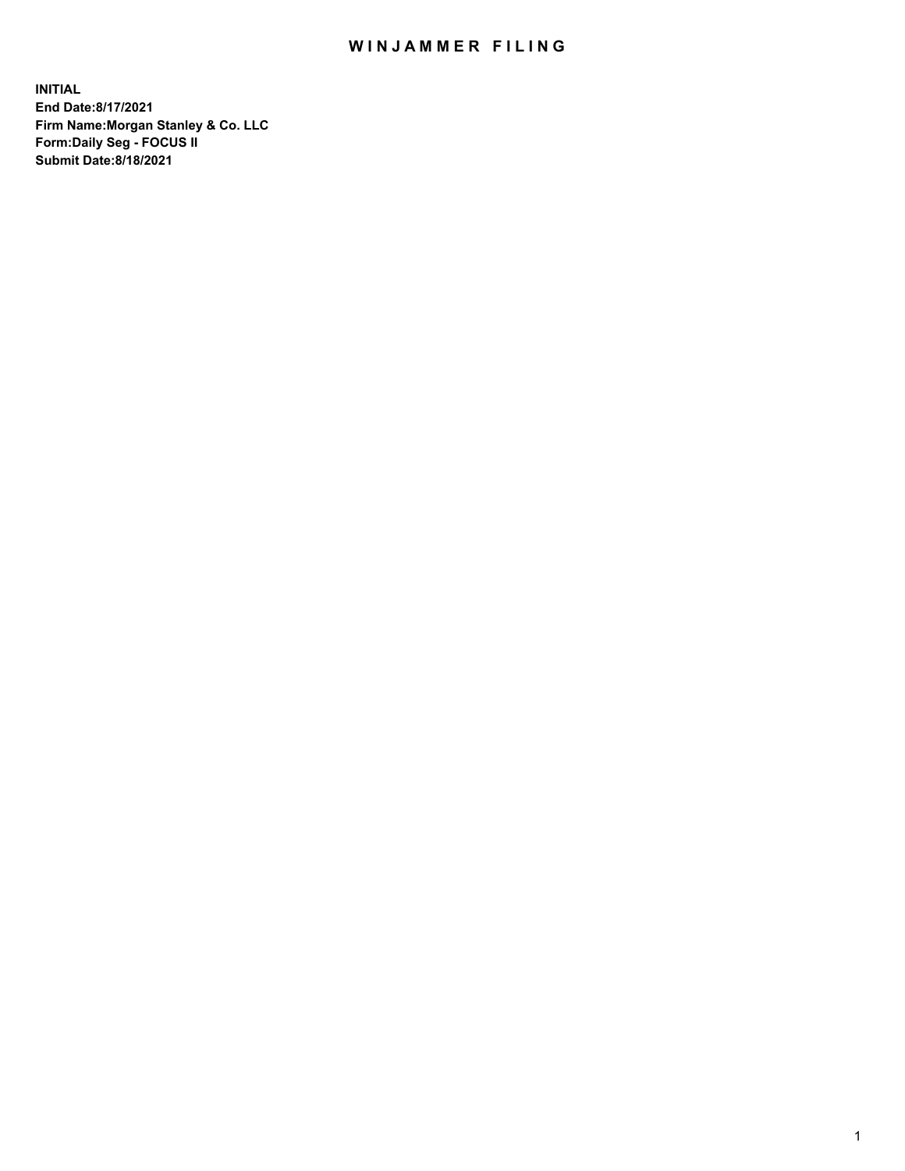## WIN JAMMER FILING

**INITIAL End Date:8/17/2021 Firm Name:Morgan Stanley & Co. LLC Form:Daily Seg - FOCUS II Submit Date:8/18/2021**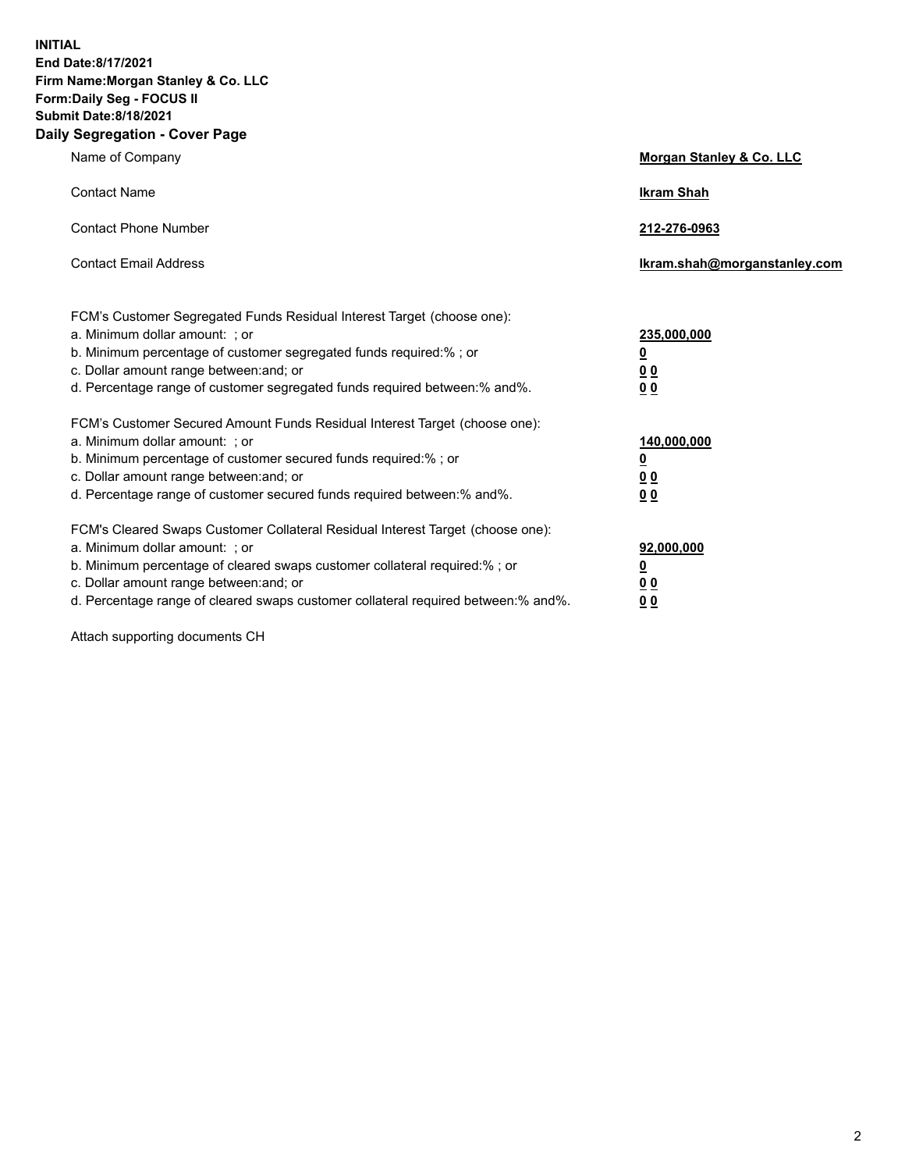**INITIAL End Date:8/17/2021 Firm Name:Morgan Stanley & Co. LLC Form:Daily Seg - FOCUS II Submit Date:8/18/2021 Daily Segregation - Cover Page**

| Name of Company                                                                                                                                                                                                                                                                                                                | <b>Morgan Stanley &amp; Co. LLC</b>                    |
|--------------------------------------------------------------------------------------------------------------------------------------------------------------------------------------------------------------------------------------------------------------------------------------------------------------------------------|--------------------------------------------------------|
| <b>Contact Name</b>                                                                                                                                                                                                                                                                                                            | <b>Ikram Shah</b>                                      |
| <b>Contact Phone Number</b>                                                                                                                                                                                                                                                                                                    | 212-276-0963                                           |
| <b>Contact Email Address</b>                                                                                                                                                                                                                                                                                                   | Ikram.shah@morganstanley.com                           |
| FCM's Customer Segregated Funds Residual Interest Target (choose one):<br>a. Minimum dollar amount: ; or<br>b. Minimum percentage of customer segregated funds required:% ; or<br>c. Dollar amount range between: and; or<br>d. Percentage range of customer segregated funds required between:% and%.                         | 235,000,000<br><u>0</u><br>0 Q<br>0 Q                  |
| FCM's Customer Secured Amount Funds Residual Interest Target (choose one):<br>a. Minimum dollar amount: ; or<br>b. Minimum percentage of customer secured funds required:% ; or<br>c. Dollar amount range between: and; or<br>d. Percentage range of customer secured funds required between: % and %.                         | 140,000,000<br><u>0</u><br><u>00</u><br>0 <sub>0</sub> |
| FCM's Cleared Swaps Customer Collateral Residual Interest Target (choose one):<br>a. Minimum dollar amount: ; or<br>b. Minimum percentage of cleared swaps customer collateral required:% ; or<br>c. Dollar amount range between: and; or<br>d. Percentage range of cleared swaps customer collateral required between:% and%. | 92,000,000<br><u>0</u><br>0 Q<br>00                    |

Attach supporting documents CH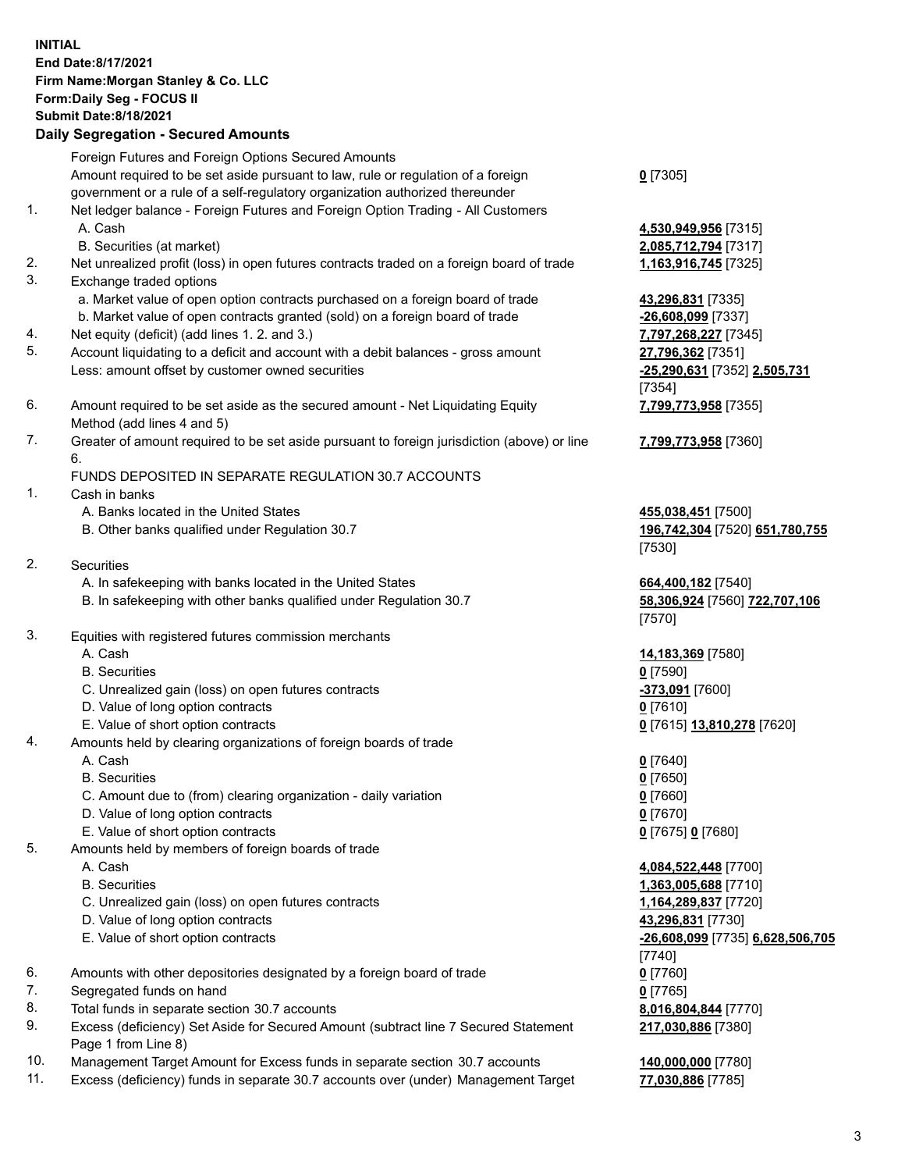## **INITIAL End Date:8/17/2021 Firm Name:Morgan Stanley & Co. LLC Form:Daily Seg - FOCUS II Submit Date:8/18/2021**

**Daily Segregation - Secured Amounts** Foreign Futures and Foreign Options Secured Amounts Amount required to be set aside pursuant to law, rule or regulation of a foreign government or a rule of a self-regulatory organization authorized thereunder 1. Net ledger balance - Foreign Futures and Foreign Option Trading - All Customers A. Cash **4,530,949,956** [7315] B. Securities (at market) **2,085,712,794** [7317] 2. Net unrealized profit (loss) in open futures contracts traded on a foreign board of trade **1,163,916,745** [7325] 3. Exchange traded options a. Market value of open option contracts purchased on a foreign board of trade **43,296,831** [7335] b. Market value of open contracts granted (sold) on a foreign board of trade **-26,608,099** [7337] 4. Net equity (deficit) (add lines 1. 2. and 3.) **7,797,268,227** [7345] 5. Account liquidating to a deficit and account with a debit balances - gross amount **27,796,362** [7351] Less: amount offset by customer owned securities **-25,290,631** [7352] **2,505,731** 6. Amount required to be set aside as the secured amount - Net Liquidating Equity Method (add lines 4 and 5) 7. Greater of amount required to be set aside pursuant to foreign jurisdiction (above) or line 6. FUNDS DEPOSITED IN SEPARATE REGULATION 30.7 ACCOUNTS 1. Cash in banks A. Banks located in the United States **455,038,451** [7500] B. Other banks qualified under Regulation 30.7 **196,742,304** [7520] **651,780,755** 2. Securities A. In safekeeping with banks located in the United States **664,400,182** [7540] B. In safekeeping with other banks qualified under Regulation 30.7 **58,306,924** [7560] **722,707,106** 3. Equities with registered futures commission merchants A. Cash **14,183,369** [7580] B. Securities **0** [7590] C. Unrealized gain (loss) on open futures contracts **-373,091** [7600] D. Value of long option contracts **0** [7610] E. Value of short option contracts **0** [7615] **13,810,278** [7620] 4. Amounts held by clearing organizations of foreign boards of trade A. Cash **0** [7640] B. Securities **0** [7650] C. Amount due to (from) clearing organization - daily variation **0** [7660] D. Value of long option contracts **0** [7670] E. Value of short option contracts **0** [7675] **0** [7680] 5. Amounts held by members of foreign boards of trade A. Cash **4,084,522,448** [7700] B. Securities **1,363,005,688** [7710] C. Unrealized gain (loss) on open futures contracts **1,164,289,837** [7720] D. Value of long option contracts **43,296,831** [7730] E. Value of short option contracts **-26,608,099** [7735] **6,628,506,705** 6. Amounts with other depositories designated by a foreign board of trade **0** [7760]

- 7. Segregated funds on hand **0** [7765]
- 8. Total funds in separate section 30.7 accounts **8,016,804,844** [7770]
- 9. Excess (deficiency) Set Aside for Secured Amount (subtract line 7 Secured Statement Page 1 from Line 8)
- 10. Management Target Amount for Excess funds in separate section 30.7 accounts **140,000,000** [7780]
- 11. Excess (deficiency) funds in separate 30.7 accounts over (under) Management Target **77,030,886** [7785]

[7354]

**0** [7305]

**7,799,773,958** [7355]

## **7,799,773,958** [7360]

[7530]

[7570]

[7740] **217,030,886** [7380]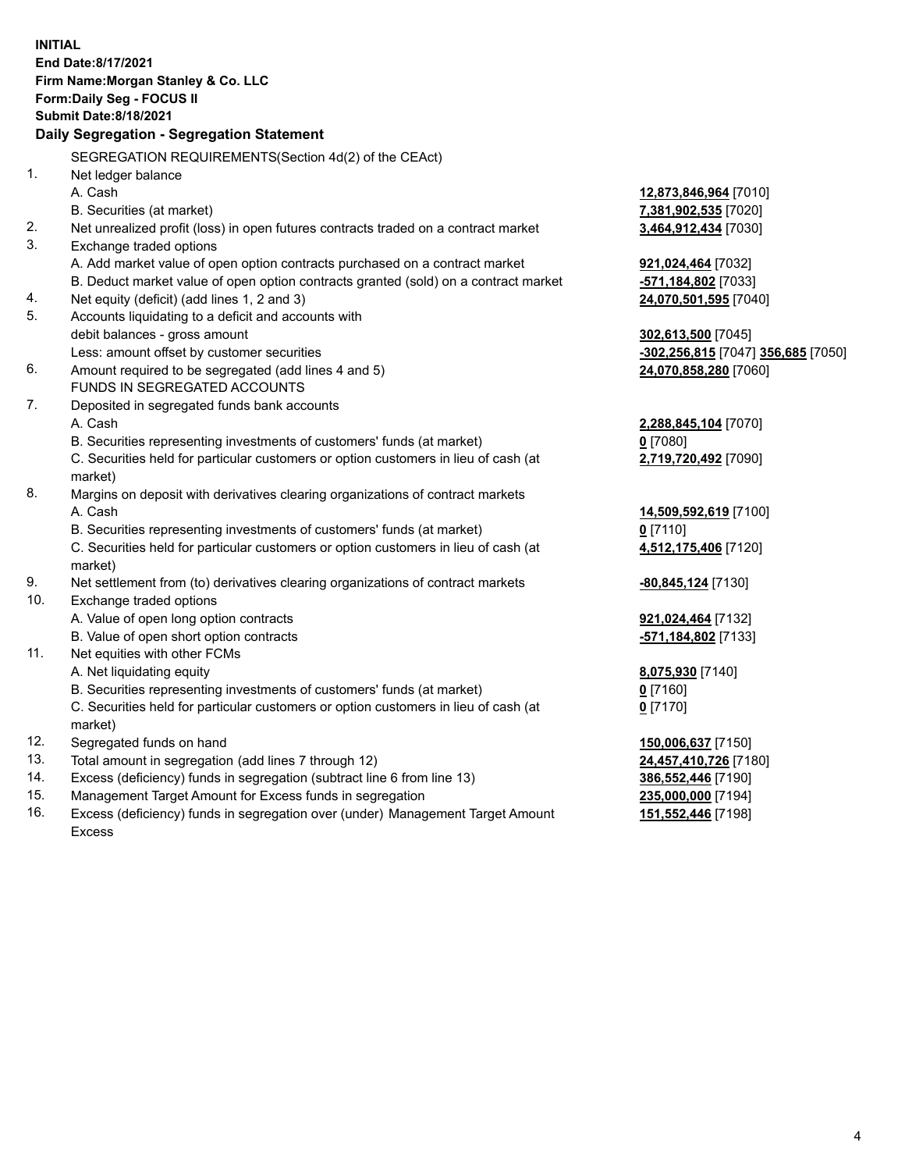**INITIAL End Date:8/17/2021 Firm Name:Morgan Stanley & Co. LLC Form:Daily Seg - FOCUS II Submit Date:8/18/2021 Daily Segregation - Segregation Statement** SEGREGATION REQUIREMENTS(Section 4d(2) of the CEAct) 1. Net ledger balance A. Cash **12,873,846,964** [7010] B. Securities (at market) **7,381,902,535** [7020] 2. Net unrealized profit (loss) in open futures contracts traded on a contract market **3,464,912,434** [7030] 3. Exchange traded options A. Add market value of open option contracts purchased on a contract market **921,024,464** [7032] B. Deduct market value of open option contracts granted (sold) on a contract market **-571,184,802** [7033] 4. Net equity (deficit) (add lines 1, 2 and 3) **24,070,501,595** [7040] 5. Accounts liquidating to a deficit and accounts with debit balances - gross amount **302,613,500** [7045] Less: amount offset by customer securities **-302,256,815** [7047] **356,685** [7050] 6. Amount required to be segregated (add lines 4 and 5) **24,070,858,280** [7060] FUNDS IN SEGREGATED ACCOUNTS 7. Deposited in segregated funds bank accounts A. Cash **2,288,845,104** [7070] B. Securities representing investments of customers' funds (at market) **0** [7080] C. Securities held for particular customers or option customers in lieu of cash (at market) **2,719,720,492** [7090] 8. Margins on deposit with derivatives clearing organizations of contract markets A. Cash **14,509,592,619** [7100] B. Securities representing investments of customers' funds (at market) **0** [7110] C. Securities held for particular customers or option customers in lieu of cash (at market) **4,512,175,406** [7120] 9. Net settlement from (to) derivatives clearing organizations of contract markets **-80,845,124** [7130] 10. Exchange traded options A. Value of open long option contracts **921,024,464** [7132] B. Value of open short option contracts **-571,184,802** [7133] 11. Net equities with other FCMs A. Net liquidating equity **8,075,930** [7140] B. Securities representing investments of customers' funds (at market) **0** [7160] C. Securities held for particular customers or option customers in lieu of cash (at market) **0** [7170] 12. Segregated funds on hand **150,006,637** [7150] 13. Total amount in segregation (add lines 7 through 12) **24,457,410,726** [7180] 14. Excess (deficiency) funds in segregation (subtract line 6 from line 13) **386,552,446** [7190] 15. Management Target Amount for Excess funds in segregation **235,000,000** [7194]

16. Excess (deficiency) funds in segregation over (under) Management Target Amount Excess

**151,552,446** [7198]